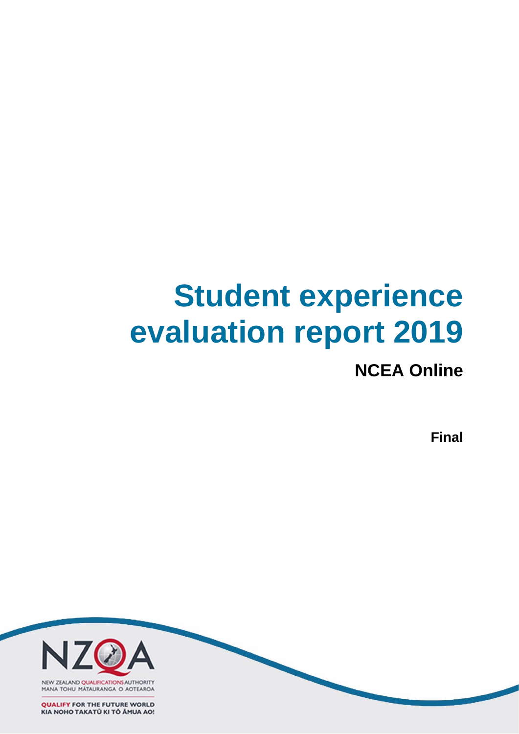# **Student experience evaluation report 2019**

## **NCEA Online**

**Final**

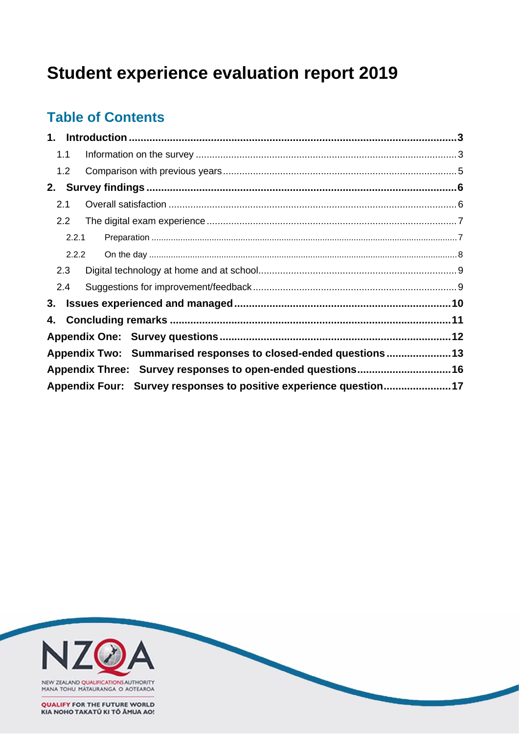# **Student experience evaluation report 2019**

### **Table of Contents**

| 1.1   |                                                                   |  |
|-------|-------------------------------------------------------------------|--|
| 1.2   |                                                                   |  |
|       |                                                                   |  |
| 2.1   |                                                                   |  |
| 2.2   |                                                                   |  |
| 2.2.1 |                                                                   |  |
| 2.2.2 |                                                                   |  |
| 2.3   |                                                                   |  |
| 2.4   |                                                                   |  |
|       |                                                                   |  |
|       |                                                                   |  |
|       |                                                                   |  |
|       | Appendix Two: Summarised responses to closed-ended questions13    |  |
|       | Appendix Three: Survey responses to open-ended questions16        |  |
|       | Appendix Four: Survey responses to positive experience question17 |  |

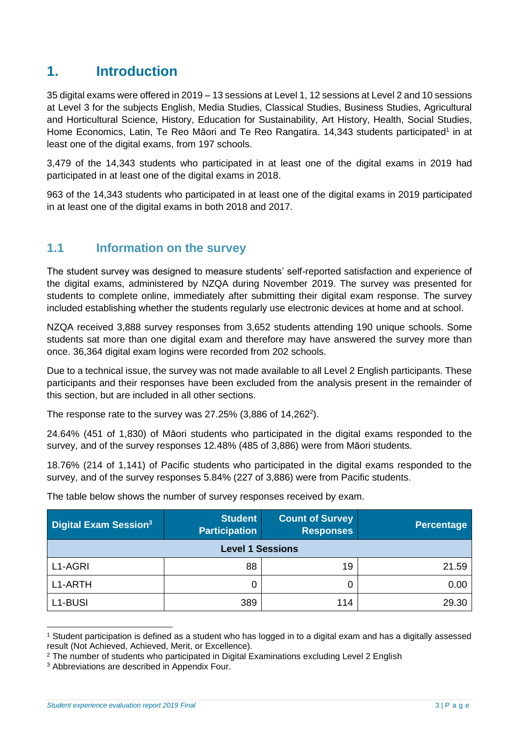### <span id="page-2-0"></span>**1. Introduction**

35 digital exams were offered in 2019 – 13 sessions at Level 1, 12 sessions at Level 2 and 10 sessions at Level 3 for the subjects English, Media Studies, Classical Studies, Business Studies, Agricultural and Horticultural Science, History, Education for Sustainability, Art History, Health, Social Studies, Home Economics, Latin, Te Reo Māori and Te Reo Rangatira. 14,343 students participated<sup>1</sup> in at least one of the digital exams, from 197 schools.

3,479 of the 14,343 students who participated in at least one of the digital exams in 2019 had participated in at least one of the digital exams in 2018.

963 of the 14,343 students who participated in at least one of the digital exams in 2019 participated in at least one of the digital exams in both 2018 and 2017.

### <span id="page-2-1"></span>**1.1 Information on the survey**

The student survey was designed to measure students' self-reported satisfaction and experience of the digital exams, administered by NZQA during November 2019. The survey was presented for students to complete online, immediately after submitting their digital exam response. The survey included establishing whether the students regularly use electronic devices at home and at school.

NZQA received 3,888 survey responses from 3,652 students attending 190 unique schools. Some students sat more than one digital exam and therefore may have answered the survey more than once. 36,364 digital exam logins were recorded from 202 schools.

Due to a technical issue, the survey was not made available to all Level 2 English participants. These participants and their responses have been excluded from the analysis present in the remainder of this section, but are included in all other sections.

The response rate to the survey was 27.25%  $(3,886 \text{ of } 14,262^2)$ .

24.64% (451 of 1,830) of Māori students who participated in the digital exams responded to the survey, and of the survey responses 12.48% (485 of 3,886) were from Māori students.

18.76% (214 of 1,141) of Pacific students who participated in the digital exams responded to the survey, and of the survey responses 5.84% (227 of 3,886) were from Pacific students.

| Digital Exam Session <sup>3</sup> | <b>Student</b><br><b>Participation</b> | <b>Count of Survey</b><br><b>Responses</b> | Percentage |
|-----------------------------------|----------------------------------------|--------------------------------------------|------------|
|                                   | <b>Level 1 Sessions</b>                |                                            |            |
| L1-AGRI                           | 88                                     | 19                                         | 21.59      |
| L1-ARTH                           | 0                                      |                                            | 0.00       |
| L1-BUSI                           | 389                                    | 114                                        | 29.30      |

The table below shows the number of survey responses received by exam.

<sup>1</sup> Student participation is defined as a student who has logged in to a digital exam and has a digitally assessed result (Not Achieved, Achieved, Merit, or Excellence).

<sup>&</sup>lt;sup>2</sup> The number of students who participated in Digital Examinations excluding Level 2 English

<sup>&</sup>lt;sup>3</sup> Abbreviations are described in Appendix Four.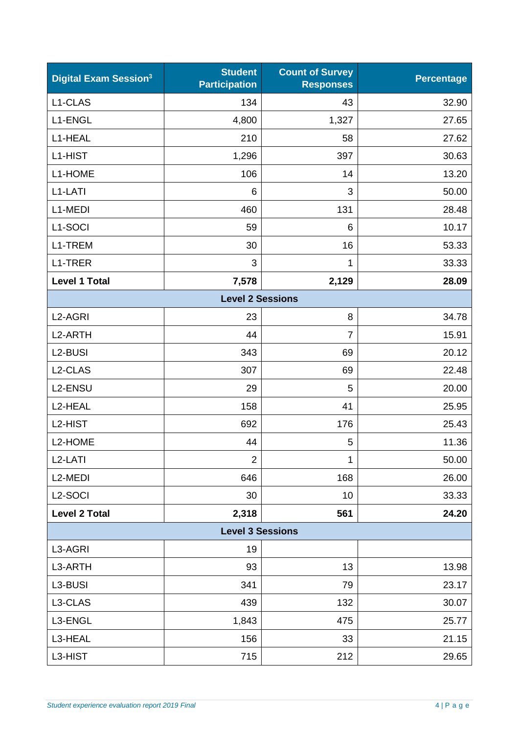| <b>Digital Exam Session3</b> | <b>Student</b><br><b>Participation</b> | <b>Count of Survey</b><br><b>Responses</b> | <b>Percentage</b> |
|------------------------------|----------------------------------------|--------------------------------------------|-------------------|
| L1-CLAS                      | 134                                    | 43                                         | 32.90             |
| L1-ENGL                      | 4,800                                  | 1,327                                      | 27.65             |
| L1-HEAL                      | 210                                    | 58                                         | 27.62             |
| L1-HIST                      | 1,296                                  | 397                                        | 30.63             |
| L1-HOME                      | 106                                    | 14                                         | 13.20             |
| L1-LATI                      | 6                                      | 3                                          | 50.00             |
| L1-MEDI                      | 460                                    | 131                                        | 28.48             |
| L1-SOCI                      | 59                                     | 6                                          | 10.17             |
| L1-TREM                      | 30                                     | 16                                         | 53.33             |
| L1-TRER                      | 3                                      | 1                                          | 33.33             |
| <b>Level 1 Total</b>         | 7,578                                  | 2,129                                      | 28.09             |
|                              | <b>Level 2 Sessions</b>                |                                            |                   |
| L <sub>2</sub> -AGRI         | 23                                     | 8                                          | 34.78             |
| L <sub>2</sub> -ARTH         | 44                                     | $\overline{7}$                             | 15.91             |
| L2-BUSI                      | 343                                    | 69                                         | 20.12             |
| L2-CLAS                      | 307                                    | 69                                         | 22.48             |
| L2-ENSU                      | 29                                     | 5                                          | 20.00             |
| L2-HEAL                      | 158                                    | 41                                         | 25.95             |
| L2-HIST                      | 692                                    | 176                                        | 25.43             |
| L2-HOME                      | 44                                     | 5                                          | 11.36             |
| L <sub>2</sub> -LATI         | $\overline{2}$                         | 1                                          | 50.00             |
| L <sub>2</sub> -MEDI         | 646                                    | 168                                        | 26.00             |
| L <sub>2</sub> -SOCI         | 30                                     | 10                                         | 33.33             |
| <b>Level 2 Total</b>         | 2,318                                  | 561                                        | 24.20             |
|                              | <b>Level 3 Sessions</b>                |                                            |                   |
| L3-AGRI                      | 19                                     |                                            |                   |
| L3-ARTH                      | 93                                     | 13                                         | 13.98             |
| L3-BUSI                      | 341                                    | 79                                         | 23.17             |
| L3-CLAS                      | 439                                    | 132                                        | 30.07             |
| L3-ENGL                      | 1,843                                  | 475                                        | 25.77             |
| L3-HEAL                      | 156                                    | 33                                         | 21.15             |
| L3-HIST                      | 715                                    | 212                                        | 29.65             |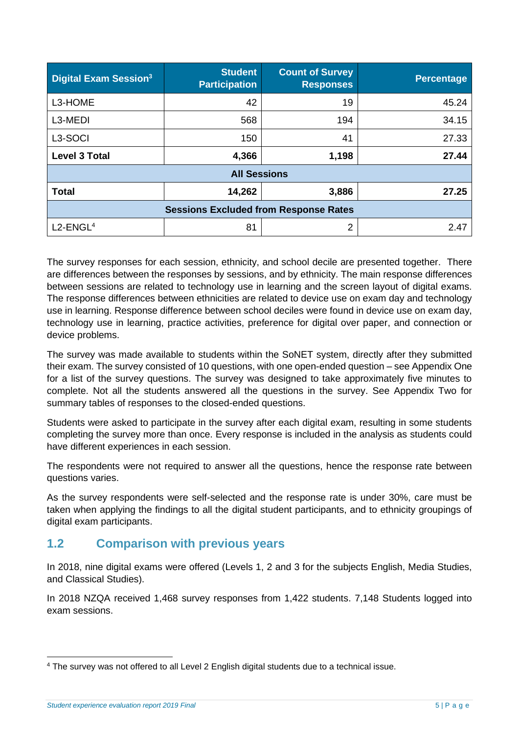| <b>Digital Exam Session<sup>3</sup></b>      | <b>Student</b><br><b>Participation</b> | <b>Count of Survey</b><br><b>Responses</b> | <b>Percentage</b> |  |  |  |  |
|----------------------------------------------|----------------------------------------|--------------------------------------------|-------------------|--|--|--|--|
| L3-HOME                                      | 42                                     | 19                                         | 45.24             |  |  |  |  |
| L3-MEDI                                      | 568                                    | 194                                        | 34.15             |  |  |  |  |
| L <sub>3</sub> -SOCI                         | 150                                    | 41                                         | 27.33             |  |  |  |  |
| <b>Level 3 Total</b>                         | 4,366<br>1,198                         |                                            | 27.44             |  |  |  |  |
| <b>All Sessions</b>                          |                                        |                                            |                   |  |  |  |  |
| <b>Total</b>                                 | 3,886                                  | 27.25                                      |                   |  |  |  |  |
| <b>Sessions Excluded from Response Rates</b> |                                        |                                            |                   |  |  |  |  |
| $L2$ -ENGL <sup>4</sup>                      | 81                                     | 2                                          | 2.47              |  |  |  |  |

The survey responses for each session, ethnicity, and school decile are presented together. There are differences between the responses by sessions, and by ethnicity. The main response differences between sessions are related to technology use in learning and the screen layout of digital exams. The response differences between ethnicities are related to device use on exam day and technology use in learning. Response difference between school deciles were found in device use on exam day, technology use in learning, practice activities, preference for digital over paper, and connection or device problems.

The survey was made available to students within the SoNET system, directly after they submitted their exam. The survey consisted of 10 questions, with one open-ended question – see Appendix One for a list of the survey questions. The survey was designed to take approximately five minutes to complete. Not all the students answered all the questions in the survey. See Appendix Two for summary tables of responses to the closed-ended questions.

Students were asked to participate in the survey after each digital exam, resulting in some students completing the survey more than once. Every response is included in the analysis as students could have different experiences in each session.

The respondents were not required to answer all the questions, hence the response rate between questions varies.

As the survey respondents were self-selected and the response rate is under 30%, care must be taken when applying the findings to all the digital student participants, and to ethnicity groupings of digital exam participants.

### <span id="page-4-0"></span>**1.2 Comparison with previous years**

In 2018, nine digital exams were offered (Levels 1, 2 and 3 for the subjects English, Media Studies, and Classical Studies).

In 2018 NZQA received 1,468 survey responses from 1,422 students. 7,148 Students logged into exam sessions.

<sup>4</sup> The survey was not offered to all Level 2 English digital students due to a technical issue.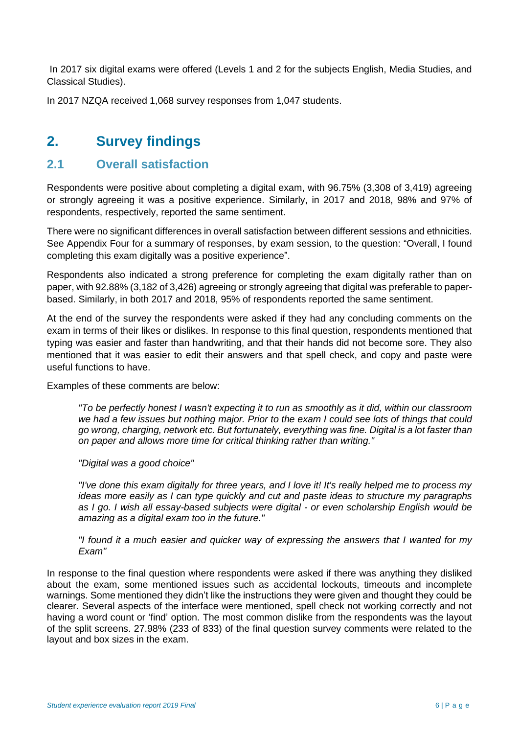In 2017 six digital exams were offered (Levels 1 and 2 for the subjects English, Media Studies, and Classical Studies).

In 2017 NZQA received 1,068 survey responses from 1,047 students.

### <span id="page-5-0"></span>**2. Survey findings**

### <span id="page-5-1"></span>**2.1 Overall satisfaction**

Respondents were positive about completing a digital exam, with 96.75% (3,308 of 3,419) agreeing or strongly agreeing it was a positive experience. Similarly, in 2017 and 2018, 98% and 97% of respondents, respectively, reported the same sentiment.

There were no significant differences in overall satisfaction between different sessions and ethnicities. See Appendix Four for a summary of responses, by exam session, to the question: "Overall, I found completing this exam digitally was a positive experience".

Respondents also indicated a strong preference for completing the exam digitally rather than on paper, with 92.88% (3,182 of 3,426) agreeing or strongly agreeing that digital was preferable to paperbased. Similarly, in both 2017 and 2018, 95% of respondents reported the same sentiment.

At the end of the survey the respondents were asked if they had any concluding comments on the exam in terms of their likes or dislikes. In response to this final question, respondents mentioned that typing was easier and faster than handwriting, and that their hands did not become sore. They also mentioned that it was easier to edit their answers and that spell check, and copy and paste were useful functions to have.

Examples of these comments are below:

*"To be perfectly honest I wasn't expecting it to run as smoothly as it did, within our classroom we had a few issues but nothing major. Prior to the exam I could see lots of things that could go wrong, charging, network etc. But fortunately, everything was fine. Digital is a lot faster than on paper and allows more time for critical thinking rather than writing."*

*"Digital was a good choice"*

*"I've done this exam digitally for three years, and I love it! It's really helped me to process my ideas more easily as I can type quickly and cut and paste ideas to structure my paragraphs as I go. I wish all essay-based subjects were digital - or even scholarship English would be amazing as a digital exam too in the future."*

*"I found it a much easier and quicker way of expressing the answers that I wanted for my Exam"*

In response to the final question where respondents were asked if there was anything they disliked about the exam, some mentioned issues such as accidental lockouts, timeouts and incomplete warnings. Some mentioned they didn't like the instructions they were given and thought they could be clearer. Several aspects of the interface were mentioned, spell check not working correctly and not having a word count or 'find' option. The most common dislike from the respondents was the layout of the split screens. 27.98% (233 of 833) of the final question survey comments were related to the layout and box sizes in the exam.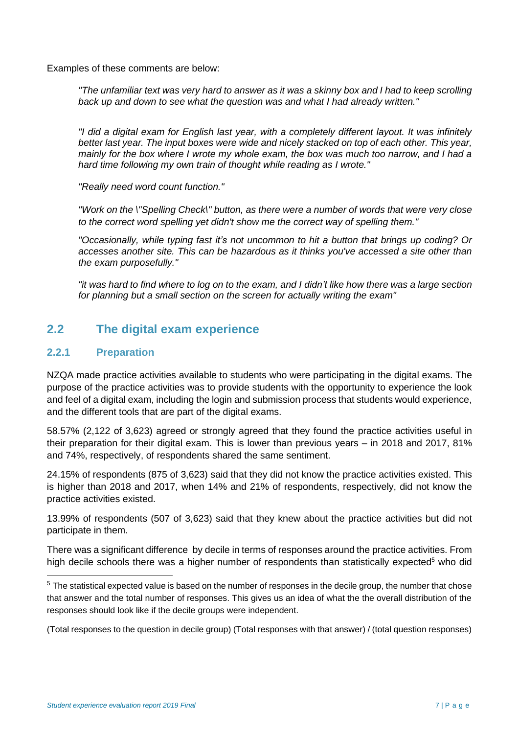Examples of these comments are below:

*"The unfamiliar text was very hard to answer as it was a skinny box and I had to keep scrolling back up and down to see what the question was and what I had already written."*

*"I did a digital exam for English last year, with a completely different layout. It was infinitely better last year. The input boxes were wide and nicely stacked on top of each other. This year, mainly for the box where I wrote my whole exam, the box was much too narrow, and I had a hard time following my own train of thought while reading as I wrote."*

*"Really need word count function."*

*"Work on the \"Spelling Check\" button, as there were a number of words that were very close to the correct word spelling yet didn't show me the correct way of spelling them."*

*"Occasionally, while typing fast it's not uncommon to hit a button that brings up coding? Or accesses another site. This can be hazardous as it thinks you've accessed a site other than the exam purposefully."*

*"it was hard to find where to log on to the exam, and I didn't like how there was a large section for planning but a small section on the screen for actually writing the exam"*

### <span id="page-6-0"></span>**2.2 The digital exam experience**

#### <span id="page-6-1"></span>**2.2.1 Preparation**

NZQA made practice activities available to students who were participating in the digital exams. The purpose of the practice activities was to provide students with the opportunity to experience the look and feel of a digital exam, including the login and submission process that students would experience, and the different tools that are part of the digital exams.

58.57% (2,122 of 3,623) agreed or strongly agreed that they found the practice activities useful in their preparation for their digital exam. This is lower than previous years – in 2018 and 2017, 81% and 74%, respectively, of respondents shared the same sentiment.

24.15% of respondents (875 of 3,623) said that they did not know the practice activities existed. This is higher than 2018 and 2017, when 14% and 21% of respondents, respectively, did not know the practice activities existed.

13.99% of respondents (507 of 3,623) said that they knew about the practice activities but did not participate in them.

There was a significant difference by decile in terms of responses around the practice activities. From high decile schools there was a higher number of respondents than statistically expected<sup>5</sup> who did

(Total responses to the question in decile group) (Total responses with that answer) / (total question responses)

<sup>&</sup>lt;sup>5</sup> The statistical expected value is based on the number of responses in the decile group, the number that chose that answer and the total number of responses. This gives us an idea of what the the overall distribution of the responses should look like if the decile groups were independent.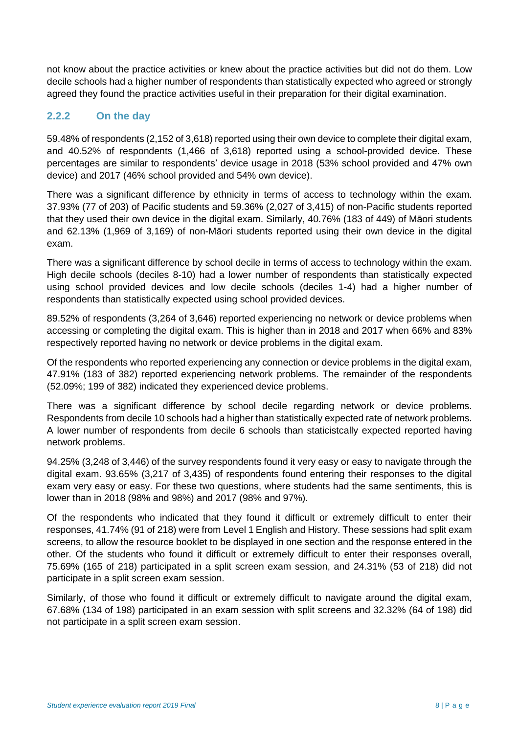not know about the practice activities or knew about the practice activities but did not do them. Low decile schools had a higher number of respondents than statistically expected who agreed or strongly agreed they found the practice activities useful in their preparation for their digital examination.

### <span id="page-7-0"></span>**2.2.2 On the day**

59.48% of respondents (2,152 of 3,618) reported using their own device to complete their digital exam, and 40.52% of respondents (1,466 of 3,618) reported using a school-provided device. These percentages are similar to respondents' device usage in 2018 (53% school provided and 47% own device) and 2017 (46% school provided and 54% own device).

There was a significant difference by ethnicity in terms of access to technology within the exam. 37.93% (77 of 203) of Pacific students and 59.36% (2,027 of 3,415) of non-Pacific students reported that they used their own device in the digital exam. Similarly, 40.76% (183 of 449) of Māori students and 62.13% (1,969 of 3,169) of non-Māori students reported using their own device in the digital exam.

There was a significant difference by school decile in terms of access to technology within the exam. High decile schools (deciles 8-10) had a lower number of respondents than statistically expected using school provided devices and low decile schools (deciles 1-4) had a higher number of respondents than statistically expected using school provided devices.

89.52% of respondents (3,264 of 3,646) reported experiencing no network or device problems when accessing or completing the digital exam. This is higher than in 2018 and 2017 when 66% and 83% respectively reported having no network or device problems in the digital exam.

Of the respondents who reported experiencing any connection or device problems in the digital exam, 47.91% (183 of 382) reported experiencing network problems. The remainder of the respondents (52.09%; 199 of 382) indicated they experienced device problems.

There was a significant difference by school decile regarding network or device problems. Respondents from decile 10 schools had a higher than statistically expected rate of network problems. A lower number of respondents from decile 6 schools than staticistcally expected reported having network problems.

94.25% (3,248 of 3,446) of the survey respondents found it very easy or easy to navigate through the digital exam. 93.65% (3,217 of 3,435) of respondents found entering their responses to the digital exam very easy or easy. For these two questions, where students had the same sentiments, this is lower than in 2018 (98% and 98%) and 2017 (98% and 97%).

Of the respondents who indicated that they found it difficult or extremely difficult to enter their responses, 41.74% (91 of 218) were from Level 1 English and History. These sessions had split exam screens, to allow the resource booklet to be displayed in one section and the response entered in the other. Of the students who found it difficult or extremely difficult to enter their responses overall, 75.69% (165 of 218) participated in a split screen exam session, and 24.31% (53 of 218) did not participate in a split screen exam session.

Similarly, of those who found it difficult or extremely difficult to navigate around the digital exam, 67.68% (134 of 198) participated in an exam session with split screens and 32.32% (64 of 198) did not participate in a split screen exam session.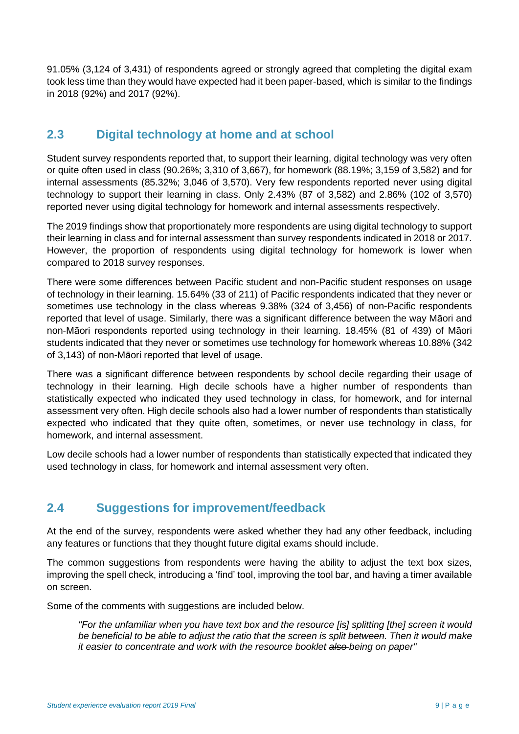91.05% (3,124 of 3,431) of respondents agreed or strongly agreed that completing the digital exam took less time than they would have expected had it been paper-based, which is similar to the findings in 2018 (92%) and 2017 (92%).

### <span id="page-8-0"></span>**2.3 Digital technology at home and at school**

Student survey respondents reported that, to support their learning, digital technology was very often or quite often used in class (90.26%; 3,310 of 3,667), for homework (88.19%; 3,159 of 3,582) and for internal assessments (85.32%; 3,046 of 3,570). Very few respondents reported never using digital technology to support their learning in class. Only 2.43% (87 of 3,582) and 2.86% (102 of 3,570) reported never using digital technology for homework and internal assessments respectively.

The 2019 findings show that proportionately more respondents are using digital technology to support their learning in class and for internal assessment than survey respondents indicated in 2018 or 2017. However, the proportion of respondents using digital technology for homework is lower when compared to 2018 survey responses.

There were some differences between Pacific student and non-Pacific student responses on usage of technology in their learning. 15.64% (33 of 211) of Pacific respondents indicated that they never or sometimes use technology in the class whereas 9.38% (324 of 3,456) of non-Pacific respondents reported that level of usage. Similarly, there was a significant difference between the way Māori and non-Māori respondents reported using technology in their learning. 18.45% (81 of 439) of Māori students indicated that they never or sometimes use technology for homework whereas 10.88% (342 of 3,143) of non-Māori reported that level of usage.

There was a significant difference between respondents by school decile regarding their usage of technology in their learning. High decile schools have a higher number of respondents than statistically expected who indicated they used technology in class, for homework, and for internal assessment very often. High decile schools also had a lower number of respondents than statistically expected who indicated that they quite often, sometimes, or never use technology in class, for homework, and internal assessment.

Low decile schools had a lower number of respondents than statistically expected that indicated they used technology in class, for homework and internal assessment very often.

### <span id="page-8-1"></span>**2.4 Suggestions for improvement/feedback**

At the end of the survey, respondents were asked whether they had any other feedback, including any features or functions that they thought future digital exams should include.

The common suggestions from respondents were having the ability to adjust the text box sizes, improving the spell check, introducing a 'find' tool, improving the tool bar, and having a timer available on screen.

Some of the comments with suggestions are included below.

*"For the unfamiliar when you have text box and the resource [is] splitting [the] screen it would be beneficial to be able to adjust the ratio that the screen is split between. Then it would make it easier to concentrate and work with the resource booklet also being on paper"*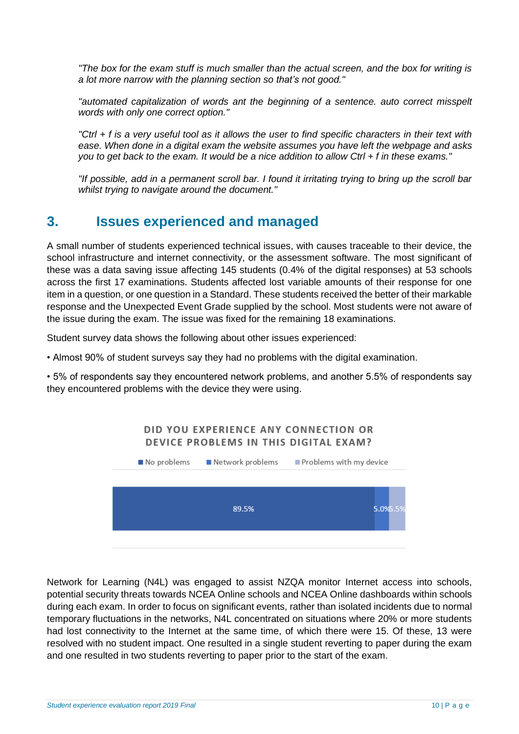*"The box for the exam stuff is much smaller than the actual screen, and the box for writing is a lot more narrow with the planning section so that's not good."*

*"automated capitalization of words ant the beginning of a sentence. auto correct misspelt words with only one correct option."*

*"Ctrl + f is a very useful tool as it allows the user to find specific characters in their text with ease. When done in a digital exam the website assumes you have left the webpage and asks you to get back to the exam. It would be a nice addition to allow Ctrl + f in these exams."*

*"If possible, add in a permanent scroll bar. I found it irritating trying to bring up the scroll bar whilst trying to navigate around the document."*

### <span id="page-9-0"></span>**3. Issues experienced and managed**

A small number of students experienced technical issues, with causes traceable to their device, the school infrastructure and internet connectivity, or the assessment software. The most significant of these was a data saving issue affecting 145 students (0.4% of the digital responses) at 53 schools across the first 17 examinations. Students affected lost variable amounts of their response for one item in a question, or one question in a Standard. These students received the better of their markable response and the Unexpected Event Grade supplied by the school. Most students were not aware of the issue during the exam. The issue was fixed for the remaining 18 examinations.

Student survey data shows the following about other issues experienced:

• Almost 90% of student surveys say they had no problems with the digital examination.

• 5% of respondents say they encountered network problems, and another 5.5% of respondents say they encountered problems with the device they were using.

#### DID YOU EXPERIENCE ANY CONNECTION OR DEVICE PROBLEMS IN THIS DIGITAL EXAM?



Network for Learning (N4L) was engaged to assist NZQA monitor Internet access into schools, potential security threats towards NCEA Online schools and NCEA Online dashboards within schools during each exam. In order to focus on significant events, rather than isolated incidents due to normal temporary fluctuations in the networks, N4L concentrated on situations where 20% or more students had lost connectivity to the Internet at the same time, of which there were 15. Of these, 13 were resolved with no student impact. One resulted in a single student reverting to paper during the exam and one resulted in two students reverting to paper prior to the start of the exam.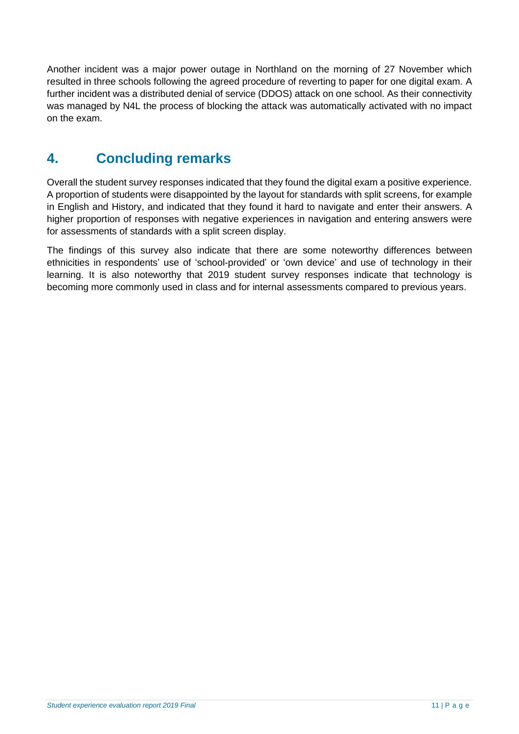Another incident was a major power outage in Northland on the morning of 27 November which resulted in three schools following the agreed procedure of reverting to paper for one digital exam. A further incident was a distributed denial of service (DDOS) attack on one school. As their connectivity was managed by N4L the process of blocking the attack was automatically activated with no impact on the exam.

### <span id="page-10-0"></span>**4. Concluding remarks**

Overall the student survey responses indicated that they found the digital exam a positive experience. A proportion of students were disappointed by the layout for standards with split screens, for example in English and History, and indicated that they found it hard to navigate and enter their answers. A higher proportion of responses with negative experiences in navigation and entering answers were for assessments of standards with a split screen display.

The findings of this survey also indicate that there are some noteworthy differences between ethnicities in respondents' use of 'school-provided' or 'own device' and use of technology in their learning. It is also noteworthy that 2019 student survey responses indicate that technology is becoming more commonly used in class and for internal assessments compared to previous years.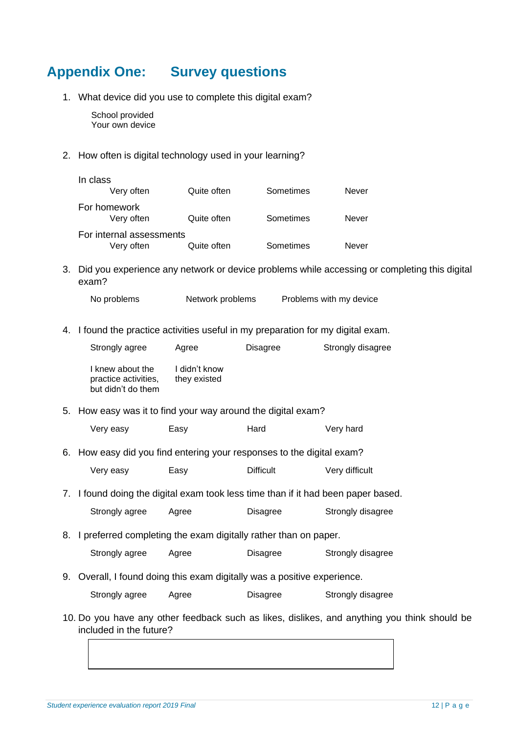### <span id="page-11-0"></span>**Appendix One: Survey questions**

1. What device did you use to complete this digital exam?

School provided Your own device

2. How often is digital technology used in your learning?

| In class<br>Very often                 | Quite often | Sometimes | Never |
|----------------------------------------|-------------|-----------|-------|
| For homework<br>Very often             | Quite often | Sometimes | Never |
| For internal assessments<br>Very often | Quite often | Sometimes | Never |

3. Did you experience any network or device problems while accessing or completing this digital exam?

No problems Metwork problems Problems with my device

4. I found the practice activities useful in my preparation for my digital exam.

| Strongly agree                                                 | Agree                         | Disagree | Strongly disagree |
|----------------------------------------------------------------|-------------------------------|----------|-------------------|
| I knew about the<br>practice activities,<br>but didn't do them | I didn't know<br>they existed |          |                   |
| 5. How easy was it to find your way around the digital exam?   |                               |          |                   |

| Very easy | Easy | Hard | Very hard |
|-----------|------|------|-----------|
|           |      |      |           |

6. How easy did you find entering your responses to the digital exam?

| Very easy | Easy | <b>Difficult</b> | Very difficult |
|-----------|------|------------------|----------------|
|-----------|------|------------------|----------------|

7. I found doing the digital exam took less time than if it had been paper based.

|  | Strongly agree | Agree | Disagree | Strongly disagree |
|--|----------------|-------|----------|-------------------|
|--|----------------|-------|----------|-------------------|

8. I preferred completing the exam digitally rather than on paper.

Strongly agree Agree Disagree Strongly disagree

9. Overall, I found doing this exam digitally was a positive experience.

| Strongly agree | Agree | Disagree | Strongly disagree |
|----------------|-------|----------|-------------------|
|                |       |          |                   |

10. Do you have any other feedback such as likes, dislikes, and anything you think should be included in the future?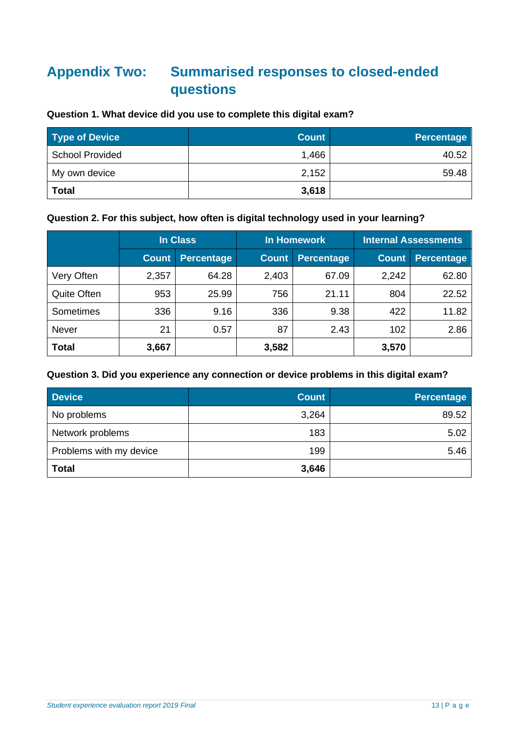### <span id="page-12-0"></span>**Appendix Two: Summarised responses to closed-ended questions**

#### **Question 1. What device did you use to complete this digital exam?**

| <b>Type of Device</b> | <b>Count</b> | <b>Percentage</b> |
|-----------------------|--------------|-------------------|
| School Provided       | 1,466        | 40.52             |
| My own device         | 2,152        | 59.48             |
| <b>Total</b>          | 3,618        |                   |

### **Question 2. For this subject, how often is digital technology used in your learning?**

| In Class           |              | <b>In Homework</b> |              | <b>Internal Assessments</b> |              |                   |
|--------------------|--------------|--------------------|--------------|-----------------------------|--------------|-------------------|
|                    | <b>Count</b> | <b>Percentage</b>  | <b>Count</b> | <b>Percentage</b>           | <b>Count</b> | <b>Percentage</b> |
| Very Often         | 2,357        | 64.28              | 2,403        | 67.09                       | 2,242        | 62.80             |
| <b>Quite Often</b> | 953          | 25.99              | 756          | 21.11                       | 804          | 22.52             |
| Sometimes          | 336          | 9.16               | 336          | 9.38                        | 422          | 11.82             |
| Never              | 21           | 0.57               | 87           | 2.43                        | 102          | 2.86              |
| <b>Total</b>       | 3,667        |                    | 3,582        |                             | 3,570        |                   |

#### **Question 3. Did you experience any connection or device problems in this digital exam?**

| <b>Device</b>           | <b>Count</b> | <b>Percentage</b> |
|-------------------------|--------------|-------------------|
| No problems             | 3,264        | 89.52             |
| Network problems        | 183          | 5.02              |
| Problems with my device | 199          | 5.46              |
| <b>Total</b>            | 3,646        |                   |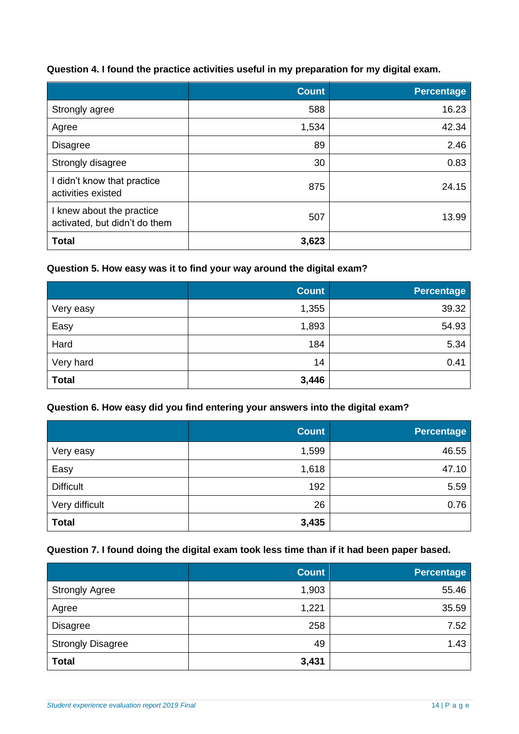**Question 4. I found the practice activities useful in my preparation for my digital exam.**

|                                                            | <b>Count</b> | Percentage |
|------------------------------------------------------------|--------------|------------|
| Strongly agree                                             | 588          | 16.23      |
| Agree                                                      | 1,534        | 42.34      |
| <b>Disagree</b>                                            | 89           | 2.46       |
| Strongly disagree                                          | 30           | 0.83       |
| I didn't know that practice<br>activities existed          | 875          | 24.15      |
| I knew about the practice<br>activated, but didn't do them | 507          | 13.99      |
| <b>Total</b>                                               | 3,623        |            |

### **Question 5. How easy was it to find your way around the digital exam?**

|              | <b>Count</b> | <b>Percentage</b> |
|--------------|--------------|-------------------|
| Very easy    | 1,355        | 39.32             |
| Easy         | 1,893        | 54.93             |
| Hard         | 184          | 5.34              |
| Very hard    | 14           | 0.41              |
| <b>Total</b> | 3,446        |                   |

#### **Question 6. How easy did you find entering your answers into the digital exam?**

|                  | <b>Count</b> | <b>Percentage</b> |
|------------------|--------------|-------------------|
| Very easy        | 1,599        | 46.55             |
| Easy             | 1,618        | 47.10             |
| <b>Difficult</b> | 192          | 5.59              |
| Very difficult   | 26           | 0.76              |
| <b>Total</b>     | 3,435        |                   |

### **Question 7. I found doing the digital exam took less time than if it had been paper based.**

|                          | <b>Count</b> | Percentage |
|--------------------------|--------------|------------|
| <b>Strongly Agree</b>    | 1,903        | 55.46      |
| Agree                    | 1,221        | 35.59      |
| <b>Disagree</b>          | 258          | 7.52       |
| <b>Strongly Disagree</b> | 49           | 1.43       |
| <b>Total</b>             | 3,431        |            |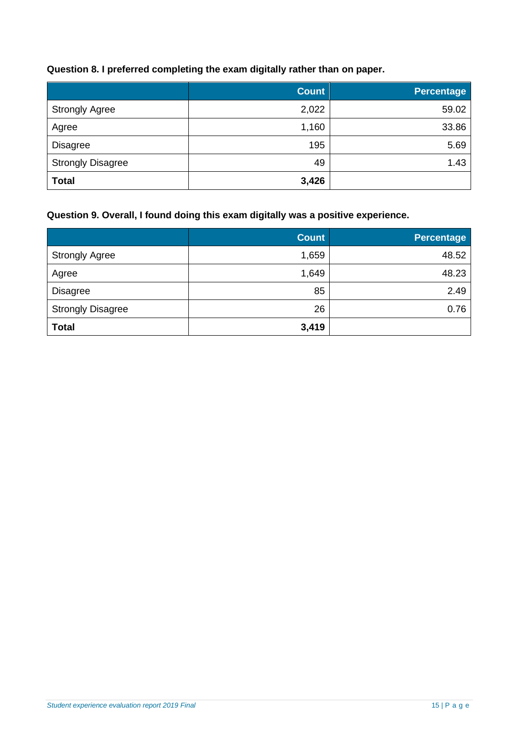#### **Question 8. I preferred completing the exam digitally rather than on paper.**

|                          | <b>Count</b> | <b>Percentage</b> |
|--------------------------|--------------|-------------------|
| <b>Strongly Agree</b>    | 2,022        | 59.02             |
| Agree                    | 1,160        | 33.86             |
| <b>Disagree</b>          | 195          | 5.69              |
| <b>Strongly Disagree</b> | 49           | 1.43              |
| <b>Total</b>             | 3,426        |                   |

### **Question 9. Overall, I found doing this exam digitally was a positive experience.**

|                          | <b>Count</b> | <b>Percentage</b> |
|--------------------------|--------------|-------------------|
| <b>Strongly Agree</b>    | 1,659        | 48.52             |
| Agree                    | 1,649        | 48.23             |
| <b>Disagree</b>          | 85           | 2.49              |
| <b>Strongly Disagree</b> | 26           | 0.76              |
| <b>Total</b>             | 3,419        |                   |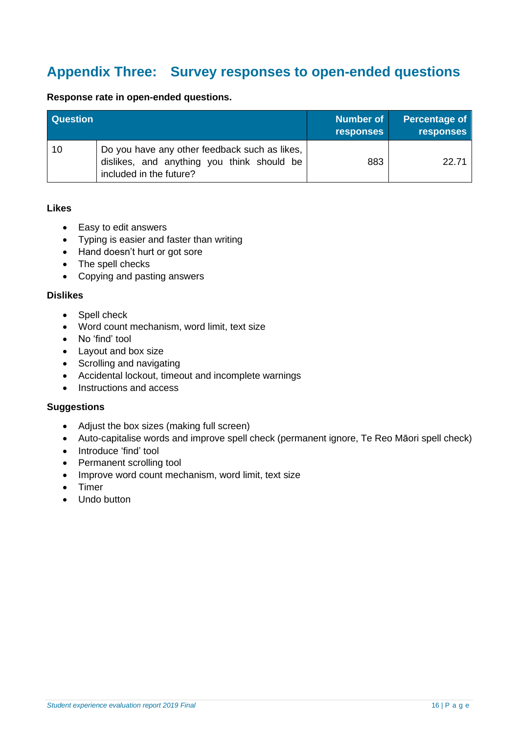### <span id="page-15-0"></span>**Appendix Three: Survey responses to open-ended questions**

| Response rate in open-ended questions. |
|----------------------------------------|
|----------------------------------------|

| <b>Question</b> |                                                                                                                        | Number of<br><b>responses</b> | <b>Percentage of</b><br><b>responses</b> |
|-----------------|------------------------------------------------------------------------------------------------------------------------|-------------------------------|------------------------------------------|
| 10              | Do you have any other feedback such as likes,<br>dislikes, and anything you think should be<br>included in the future? | 883                           | 22.71                                    |

#### **Likes**

- Easy to edit answers
- Typing is easier and faster than writing
- Hand doesn't hurt or got sore
- The spell checks
- Copying and pasting answers

#### **Dislikes**

- Spell check
- Word count mechanism, word limit, text size
- No 'find' tool
- Layout and box size
- Scrolling and navigating
- Accidental lockout, timeout and incomplete warnings
- Instructions and access

#### **Suggestions**

- Adjust the box sizes (making full screen)
- Auto-capitalise words and improve spell check (permanent ignore, Te Reo Māori spell check)
- Introduce 'find' tool
- Permanent scrolling tool
- Improve word count mechanism, word limit, text size
- Timer
- Undo button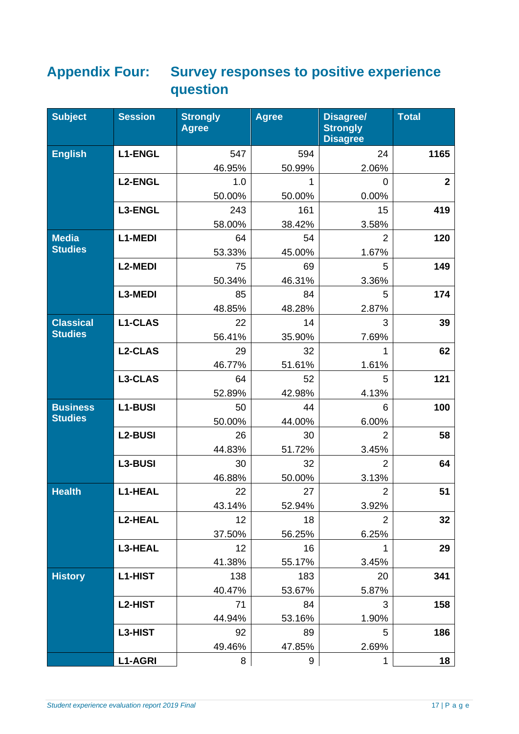### <span id="page-16-0"></span>**Appendix Four: Survey responses to positive experience question**

| <b>Subject</b>   | <b>Session</b> | <b>Strongly</b><br><b>Agree</b> | <b>Agree</b> | <b>Disagree/</b><br><b>Strongly</b><br><b>Disagree</b> | <b>Total</b> |
|------------------|----------------|---------------------------------|--------------|--------------------------------------------------------|--------------|
| <b>English</b>   | <b>L1-ENGL</b> | 547                             | 594          | 24                                                     | 1165         |
|                  |                | 46.95%                          | 50.99%       | 2.06%                                                  |              |
|                  | <b>L2-ENGL</b> | 1.0                             | 1            | 0                                                      | $\mathbf{2}$ |
|                  |                | 50.00%                          | 50.00%       | 0.00%                                                  |              |
|                  | L3-ENGL        | 243                             | 161          | 15                                                     | 419          |
|                  |                | 58.00%                          | 38.42%       | 3.58%                                                  |              |
| <b>Media</b>     | L1-MEDI        | 64                              | 54           | $\overline{2}$                                         | 120          |
| <b>Studies</b>   |                | 53.33%                          | 45.00%       | 1.67%                                                  |              |
|                  | <b>L2-MEDI</b> | 75                              | 69           | 5                                                      | 149          |
|                  |                | 50.34%                          | 46.31%       | 3.36%                                                  |              |
|                  | L3-MEDI        | 85                              | 84           | 5                                                      | 174          |
|                  |                | 48.85%                          | 48.28%       | 2.87%                                                  |              |
| <b>Classical</b> | <b>L1-CLAS</b> | 22                              | 14           | 3                                                      | 39           |
| <b>Studies</b>   |                | 56.41%                          | 35.90%       | 7.69%                                                  |              |
|                  | <b>L2-CLAS</b> | 29                              | 32           | 1                                                      | 62           |
|                  |                | 46.77%                          | 51.61%       | 1.61%                                                  |              |
|                  | L3-CLAS        | 64                              | 52           | 5                                                      | 121          |
|                  |                | 52.89%                          | 42.98%       | 4.13%                                                  |              |
| <b>Business</b>  | <b>L1-BUSI</b> | 50                              | 44           | 6                                                      | 100          |
| <b>Studies</b>   |                | 50.00%                          | 44.00%       | 6.00%                                                  |              |
|                  | <b>L2-BUSI</b> | 26                              | 30           | $\overline{2}$                                         | 58           |
|                  |                | 44.83%                          | 51.72%       | 3.45%                                                  |              |
|                  | L3-BUSI        | 30                              | 32           | 2                                                      | 64           |
|                  |                | 46.88%                          | 50.00%       | 3.13%                                                  |              |
| <b>Health</b>    | <b>L1-HEAL</b> | 22                              | 27           | $\overline{2}$                                         | 51           |
|                  |                | 43.14%                          | 52.94%       | 3.92%                                                  |              |
|                  | <b>L2-HEAL</b> | 12                              | 18           | $\overline{2}$                                         | 32           |
|                  |                | 37.50%                          | 56.25%       | 6.25%                                                  |              |
|                  | L3-HEAL        | 12                              | 16           | 1                                                      | 29           |
|                  |                | 41.38%                          | 55.17%       | 3.45%                                                  |              |
| <b>History</b>   | L1-HIST        | 138                             | 183          | 20                                                     | 341          |
|                  |                | 40.47%                          | 53.67%       | 5.87%                                                  |              |
|                  | L2-HIST        | 71                              | 84           | 3                                                      | 158          |
|                  |                | 44.94%                          | 53.16%       | 1.90%                                                  |              |
|                  | L3-HIST        | 92                              | 89           | 5                                                      | 186          |
|                  |                | 49.46%                          | 47.85%       | 2.69%                                                  |              |
|                  | <b>L1-AGRI</b> | 8                               | 9            | 1                                                      | 18           |